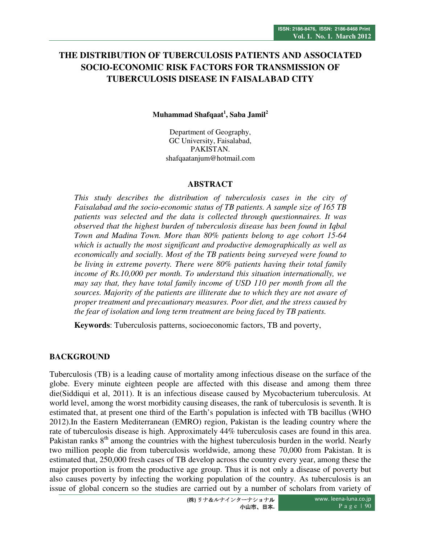# **THE DISTRIBUTION OF TUBERCULOSIS PATIENTS AND ASSOCIATED SOCIO-ECONOMIC RISK FACTORS FOR TRANSMISSION OF TUBERCULOSIS DISEASE IN FAISALABAD CITY**

**Muhammad Shafqaat<sup>1</sup> , Saba Jamil<sup>2</sup>**

Department of Geography, GC University, Faisalabad, PAKISTAN. shafqaatanjum@hotmail.com

### **ABSTRACT**

*This study describes the distribution of tuberculosis cases in the city of Faisalabad and the socio-economic status of TB patients. A sample size of 165 TB patients was selected and the data is collected through questionnaires. It was observed that the highest burden of tuberculosis disease has been found in Iqbal Town and Madina Town. More than 80% patients belong to age cohort 15-64 which is actually the most significant and productive demographically as well as economically and socially. Most of the TB patients being surveyed were found to be living in extreme poverty. There were 80% patients having their total family income of Rs.10,000 per month. To understand this situation internationally, we may say that, they have total family income of USD 110 per month from all the sources. Majority of the patients are illiterate due to which they are not aware of proper treatment and precautionary measures. Poor diet, and the stress caused by the fear of isolation and long term treatment are being faced by TB patients.* 

**Keywords**: Tuberculosis patterns, socioeconomic factors, TB and poverty,

# **BACKGROUND**

Tuberculosis (TB) is a leading cause of mortality among infectious disease on the surface of the globe. Every minute eighteen people are affected with this disease and among them three die(Siddiqui et al, 2011). It is an infectious disease caused by Mycobacterium tuberculosis. At world level, among the worst morbidity causing diseases, the rank of tuberculosis is seventh. It is estimated that, at present one third of the Earth's population is infected with TB bacillus (WHO 2012).In the Eastern Mediterranean (EMRO) region, Pakistan is the leading country where the rate of tuberculosis disease is high. Approximately 44% tuberculosis cases are found in this area. Pakistan ranks  $8<sup>th</sup>$  among the countries with the highest tuberculosis burden in the world. Nearly two million people die from tuberculosis worldwide, among these 70,000 from Pakistan. It is estimated that, 250,000 fresh cases of TB develop across the country every year, among these the major proportion is from the productive age group. Thus it is not only a disease of poverty but also causes poverty by infecting the working population of the country. As tuberculosis is an issue of global concern so the studies are carried out by a number of scholars from variety of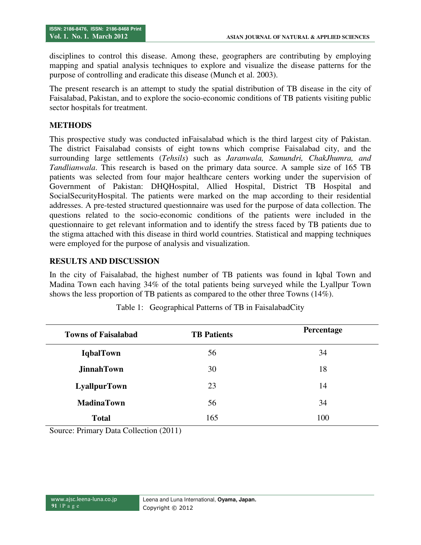disciplines to control this disease. Among these, geographers are contributing by employing mapping and spatial analysis techniques to explore and visualize the disease patterns for the purpose of controlling and eradicate this disease (Munch et al. 2003).

The present research is an attempt to study the spatial distribution of TB disease in the city of Faisalabad, Pakistan, and to explore the socio-economic conditions of TB patients visiting public sector hospitals for treatment.

### **METHODS**

This prospective study was conducted inFaisalabad which is the third largest city of Pakistan. The district Faisalabad consists of eight towns which comprise Faisalabad city, and the surrounding large settlements (*Tehsils*) such as *Jaranwala, Samundri, ChakJhumra, and Tandlianwala*. This research is based on the primary data source. A sample size of 165 TB patients was selected from four major healthcare centers working under the supervision of Government of Pakistan: DHQHospital, Allied Hospital, District TB Hospital and SocialSecurityHospital. The patients were marked on the map according to their residential addresses. A pre-tested structured questionnaire was used for the purpose of data collection. The questions related to the socio-economic conditions of the patients were included in the questionnaire to get relevant information and to identify the stress faced by TB patients due to the stigma attached with this disease in third world countries. Statistical and mapping techniques were employed for the purpose of analysis and visualization.

# **RESULTS AND DISCUSSION**

In the city of Faisalabad, the highest number of TB patients was found in Iqbal Town and Madina Town each having 34% of the total patients being surveyed while the Lyallpur Town shows the less proportion of TB patients as compared to the other three Towns (14%).

| <b>Towns of Faisalabad</b> | <b>TB</b> Patients | Percentage |
|----------------------------|--------------------|------------|
| <b>IqbalTown</b>           | 56                 | 34         |
| <b>JinnahTown</b>          | 30                 | 18         |
| <b>LyallpurTown</b>        | 23                 | 14         |
| <b>MadinaTown</b>          | 56                 | 34         |
| <b>Total</b>               | 165                | 100        |

Table 1: Geographical Patterns of TB in FaisalabadCity

Source: Primary Data Collection (2011)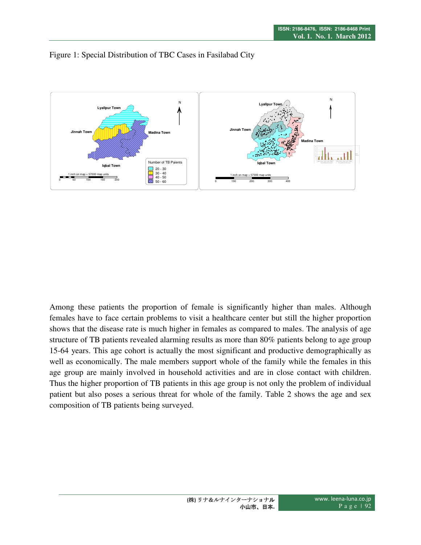



Among these patients the proportion of female is significantly higher than males. Although females have to face certain problems to visit a healthcare center but still the higher proportion shows that the disease rate is much higher in females as compared to males. The analysis of age structure of TB patients revealed alarming results as more than 80% patients belong to age group 15-64 years. This age cohort is actually the most significant and productive demographically as well as economically. The male members support whole of the family while the females in this age group are mainly involved in household activities and are in close contact with children. Thus the higher proportion of TB patients in this age group is not only the problem of individual patient but also poses a serious threat for whole of the family. Table 2 shows the age and sex composition of TB patients being surveyed.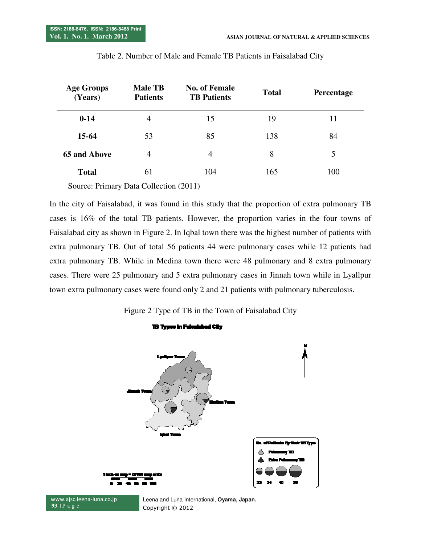| <b>Age Groups</b><br>(Years) | <b>Male TB</b><br><b>Patients</b> | <b>No. of Female</b><br><b>TB Patients</b> | <b>Total</b> | Percentage |
|------------------------------|-----------------------------------|--------------------------------------------|--------------|------------|
| $0 - 14$                     | 4                                 | 15                                         | 19           | 11         |
| $15-64$                      | 53                                | 85                                         | 138          | 84         |
| <b>65 and Above</b>          | $\overline{4}$                    | 4                                          | 8            | 5          |
| <b>Total</b>                 | 61                                | 104                                        | 165          | 100        |

Source: Primary Data Collection (2011)

In the city of Faisalabad, it was found in this study that the proportion of extra pulmonary TB cases is 16% of the total TB patients. However, the proportion varies in the four towns of Faisalabad city as shown in Figure 2. In Iqbal town there was the highest number of patients with extra pulmonary TB. Out of total 56 patients 44 were pulmonary cases while 12 patients had extra pulmonary TB. While in Medina town there were 48 pulmonary and 8 extra pulmonary cases. There were 25 pulmonary and 5 extra pulmonary cases in Jinnah town town extra pulmonary cases were found only 2 and 21 patients with pulmonary tuberculosis. city of Faisalabad, it was found in this study that the proportion of extra pulmonary TB is 16% of the total TB patients. However, the proportion varies in the four towns of abad city as shown in Figure 2. In Iqbal town th

Figure 2 Type of TB in the Town of Faisalabad City

**113 Types In Faisalabad City** 

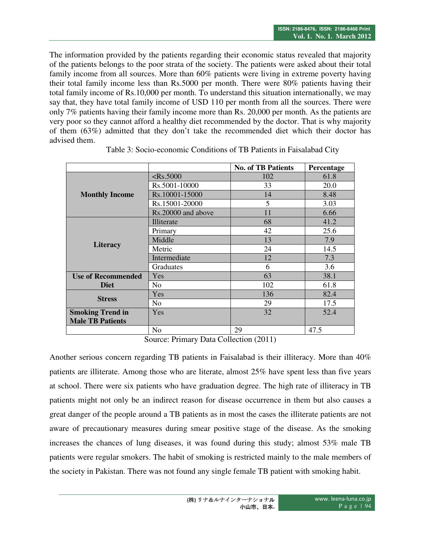The information provided by the patients regarding their economic status revealed that majority of the patients belongs to the poor strata of the society. The patients were asked about their total family income from all sources. More than 60% patients were living in extreme poverty having their total family income less than Rs.5000 per month. There were 80% patients having their total family income of Rs.10,000 per month. To understand this situation internationally, we may say that, they have total family income of USD 110 per month from all the sources. There were only 7% patients having their family income more than Rs. 20,000 per month. As the patients are very poor so they cannot afford a healthy diet recommended by the doctor. That is why majority of them (63%) admitted that they don't take the recommended diet which their doctor has advised them.

|                           |                    | <b>No. of TB Patients</b> | Percentage |
|---------------------------|--------------------|---------------------------|------------|
|                           | $<$ Rs.5000        | 102                       | 61.8       |
| <b>Monthly Income</b>     | Rs.5001-10000      | 33                        | 20.0       |
|                           | Rs.10001-15000     | 14                        | 8.48       |
|                           | Rs.15001-20000     | 5                         | 3.03       |
|                           | Rs.20000 and above | 11                        | 6.66       |
| <b>Literacy</b>           | Illiterate         | 68                        | 41.2       |
|                           | Primary            | 42                        | 25.6       |
|                           | Middle             | 13                        | 7.9        |
|                           | Metric             | 24                        | 14.5       |
|                           | Intermediate       | 12                        | 7.3        |
|                           | <b>Graduates</b>   | 6                         | 3.6        |
| <b>Use of Recommended</b> | Yes                |                           | 38.1       |
| <b>Diet</b>               | No                 | 102                       | 61.8       |
|                           | Yes                | 136                       | 82.4       |
| <b>Stress</b>             | N <sub>o</sub>     | 29                        | 17.5       |
| <b>Smoking Trend in</b>   | <b>Yes</b>         | 32                        | 52.4       |
| <b>Male TB Patients</b>   |                    |                           |            |
|                           | No                 | 29                        | 47.5       |

Table 3: Socio-economic Conditions of TB Patients in Faisalabad City

Source: Primary Data Collection (2011)

Another serious concern regarding TB patients in Faisalabad is their illiteracy. More than 40% patients are illiterate. Among those who are literate, almost 25% have spent less than five years at school. There were six patients who have graduation degree. The high rate of illiteracy in TB patients might not only be an indirect reason for disease occurrence in them but also causes a great danger of the people around a TB patients as in most the cases the illiterate patients are not aware of precautionary measures during smear positive stage of the disease. As the smoking increases the chances of lung diseases, it was found during this study; almost 53% male TB patients were regular smokers. The habit of smoking is restricted mainly to the male members of the society in Pakistan. There was not found any single female TB patient with smoking habit.